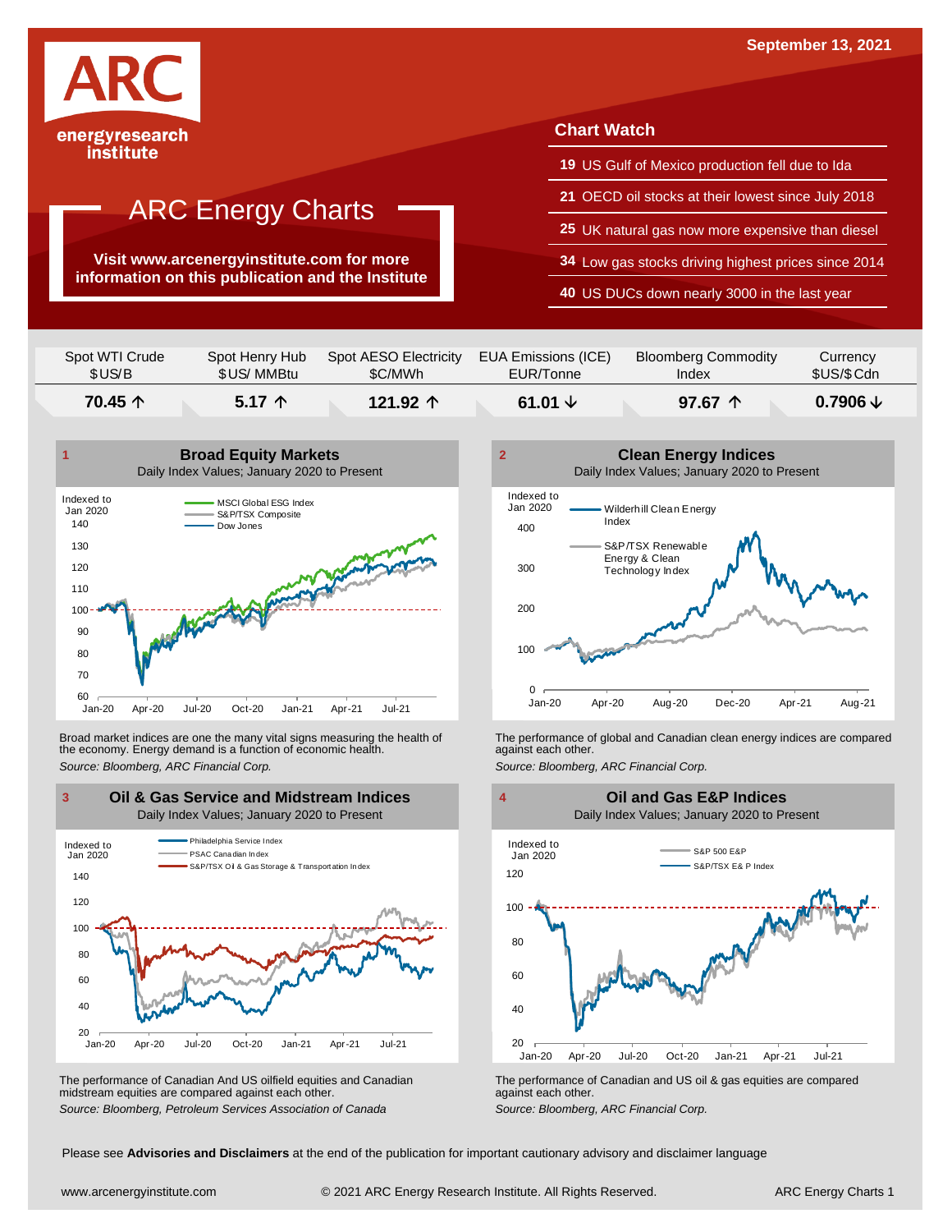

## ARC Energy Charts

**Visit www.arcenergyinstitute.com for more information on this publication and the Institute**

#### **Chart Watch**

- **19** US Gulf of Mexico production fell due to Ida
- **21** OECD oil stocks at their lowest since July 2018
- **25** UK natural gas now more expensive than diesel
- **34** Low gas stocks driving highest prices since 2014
- **40** US DUCs down nearly 3000 in the last year

| Spot WTI Crude | Spot Henry Hub  | Spot AESO Electricity | EUA Emissions (ICE) | <b>Bloomberg Commodity</b> | Currency            |
|----------------|-----------------|-----------------------|---------------------|----------------------------|---------------------|
| \$US/B         | \$US/ MMBtu     | \$C/MWh               | EUR/Tonne           | Index                      | \$US/\$Cdn          |
| 70.45 个        | $5.17 \uparrow$ | 121.92 $\uparrow$     | 61.01 $\downarrow$  | 97.67 $\uparrow$           | $0.7906 \downarrow$ |



Broad market indices are one the many vital signs measuring the health of the economy. Energy demand is a function of economic health. Broad market indices are one the many vital signs measuring the health of The performance of global and Canadian clean energy indices are compared<br>the economy. Energy demand is a function of economic health.<br>Source: Bloomb



The performance of Canadian And US oilfield equities and Canadian midstream equities are compared against each other. The performance of Canadian And US oilfield equities and Canadian **Frank Constant Prank Constant Prank Constant**<br>The performance of Canadian and US oil & gas equities are compared<br>Source: Bloomberg, Petroleum Services Asso



 $20$   $\overline{\phantom{0}}$  Jan-20 40 60 80 100 120 Jan-20 Apr-20 Jul-20 Oct-20 Jan-21 Apr-21 Jul-21 S&P 500 E&P S&P/TSX E& P Index Indexed to Jan 2020 **Oil and Gas E&P Indices** Daily Index Values; January 2020 to Present

Please see **Advisories and Disclaimers** at the end of the publication for important cautionary advisory and disclaimer language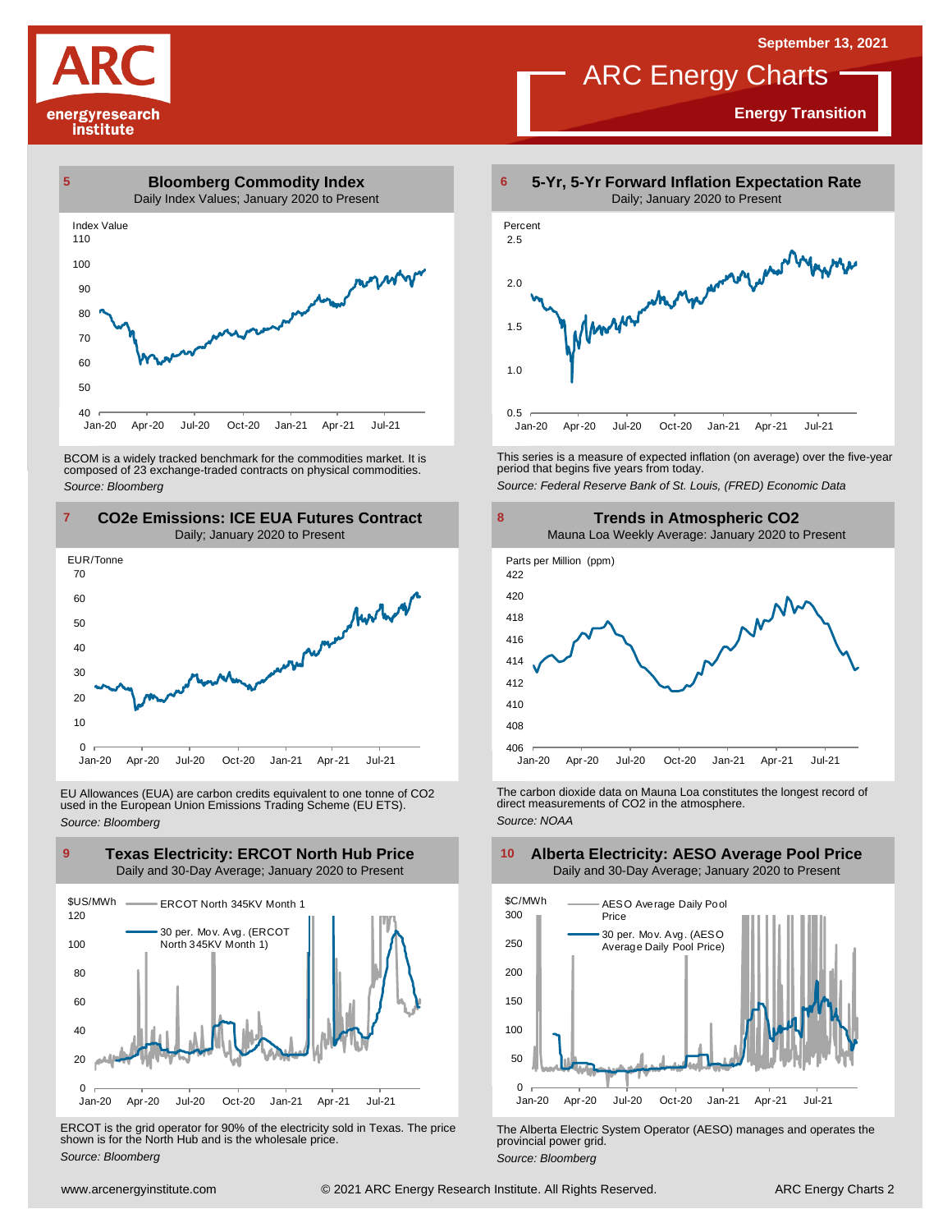**Energy Transition**

# energyresearch institute



BCOM is <sup>a</sup> widely tracked benchmark for the commodities market. It is composed of <sup>23</sup> exchange-traded contracts on physical commodities. *Source: Bloomberg*



EU Allowances (EUA) are carbon credits equivalent to one tonne of CO2 used in the European Union Emissions Trading Scheme (EU ETS). *Source: Bloomberg*



ERCOT is the grid operator for 90% of the electricity sold in Texas. The price shown is for the North Hub and is the wholesale price. *Source: Bloomberg*



ARC Energy Charts

This series is <sup>a</sup> measure of expected inflation (on average) over the five-year period that begins five years from today.

*Source: Federal Reserve Bank of St. Louis, (FRED) Economic Data*



The carbon dioxide data on Mauna Loa constitutes the longest record of direct measurements of CO2 in the atmosphere. *Source: NOAA*



The Alberta Electric System Operator (AESO) manages and operates the provincial power grid. *Source: Bloomberg*

# **Alberta Electricity: AESO Average Pool Price**

Daily and 30-Day Average; January 2020 to Present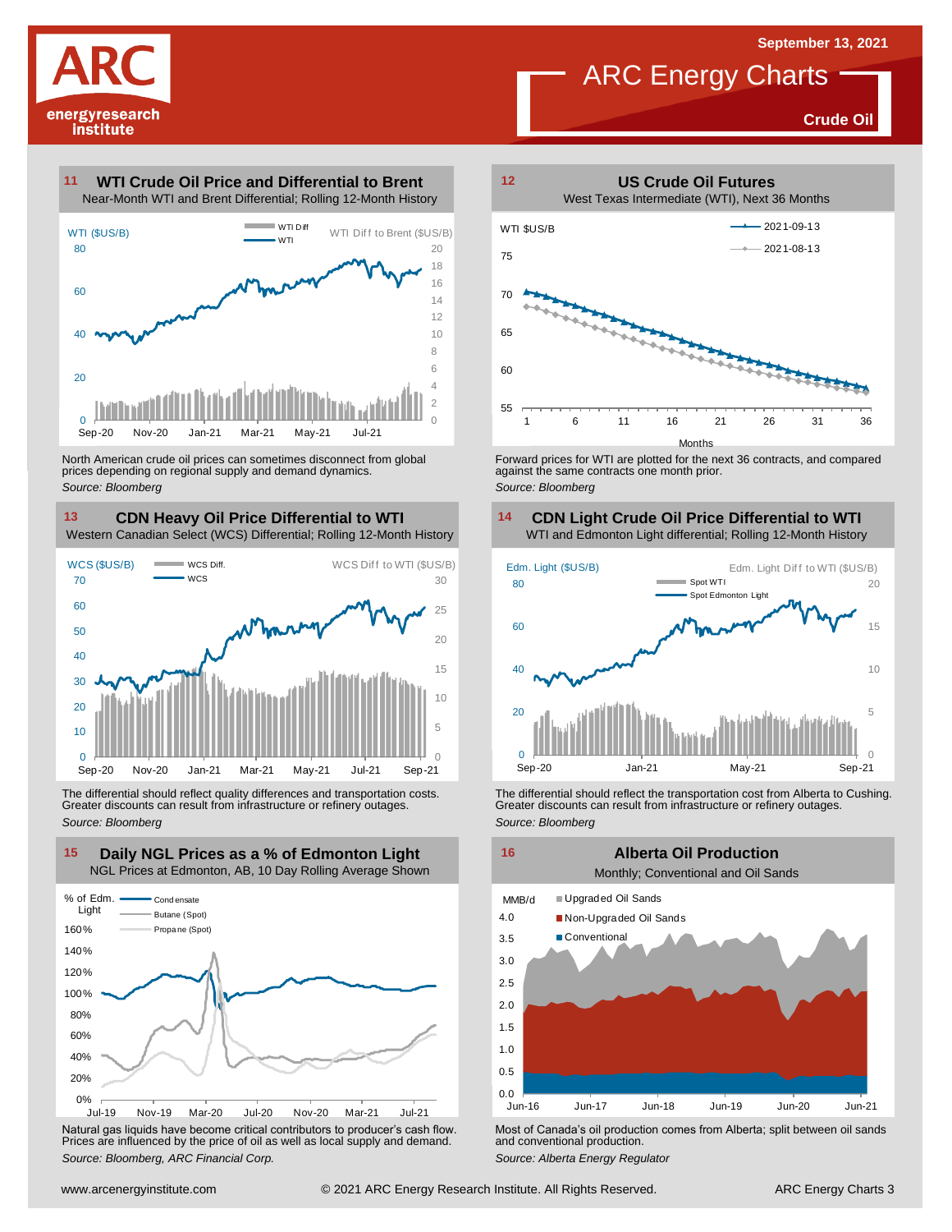**Crude Oil**



#### **WTI Crude Oil Price and Differential to Brent 11**



North American crude oil prices can sometimes disconnect from global prices depending on regional supply and demand dynamics. *Source: Bloomberg*

**CDN Heavy Oil Price Differential to WTI 13 14**



The differential should reflect quality differences and transportation costs. Greater discounts can result from infrastructure or refinery outages. *Source: Bloomberg*



Natural gas liquids have become critical contributors to producer's cash flow. Most of Canada's oil production comes from Alberta; split between oil sands<br>Prices are influenced by the price of oil as well as local supply a



**ARC** Energy Charts

Forward prices for WTI are plotted for the next 36 contracts, and compared against the same contracts one month prior. *Source: Bloomberg*

#### **CDN Light Crude Oil Price Differential to WTI**



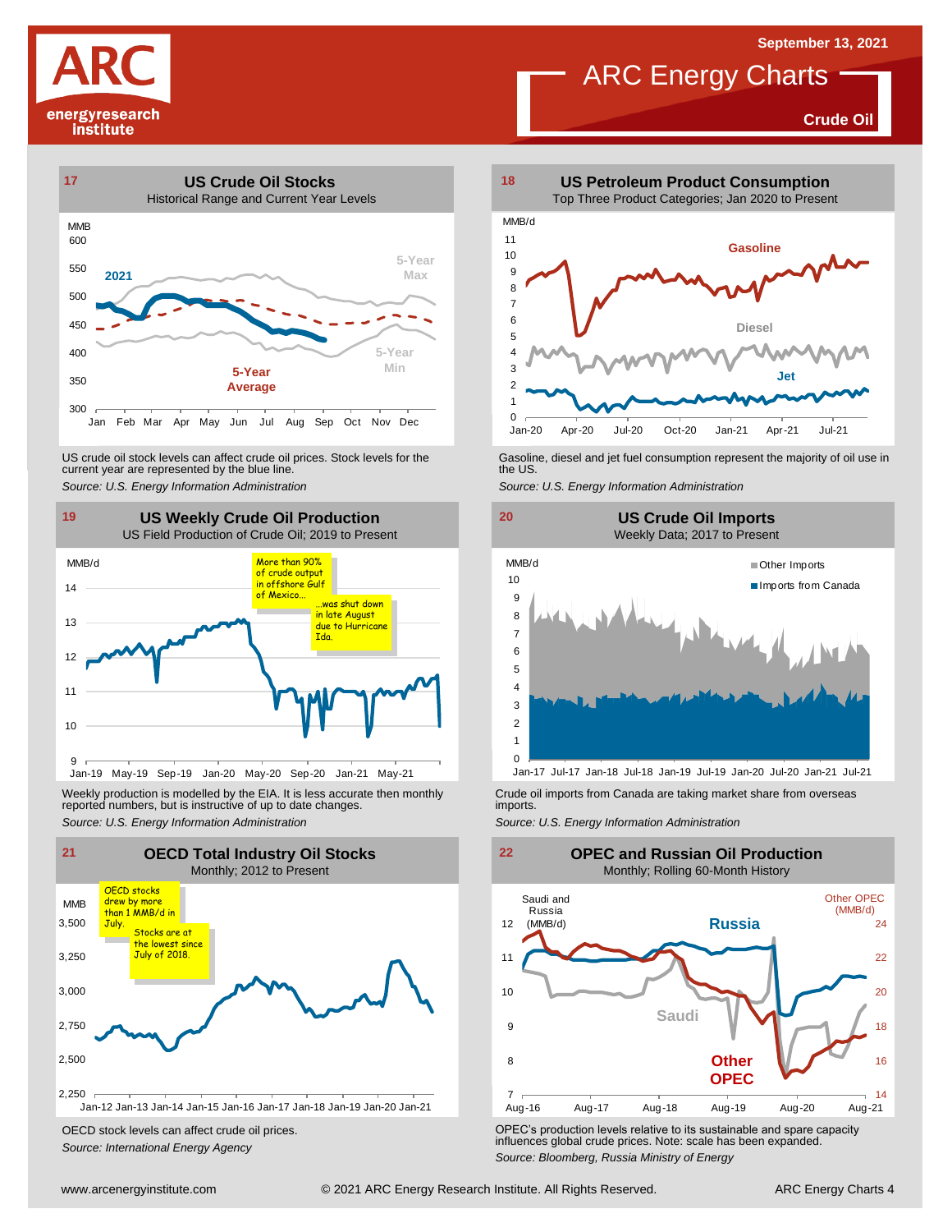## **ARC** Energy Charts

**Crude Oil**





US crude oil stock levels can affect crude oil prices. Stock levels for the Gasoline, diesel and jet fuel consumption represent the majority of oil use in<br>current year are represented by the blue line.<br>Source: U.S. Energy



Weekly production is modelled by the EIA. It is less accurate then monthly reported numbers, but is instructive of up to date changes. Weekly production is modelled by the EIA. It is less accurate then monthly Crude oil imports from Canada are taking market share from overseas<br>
reported numbers, but is instructive of up to date changes.<br>
Source: U.S. Ener



OECD stock levels can affect crude oil prices. *Source: International Energy Agency*



#### **19 20 US Weekly Crude Oil Production US Crude Oil Imports** Weekly Data; 2017 to Present





OPEC's production levels relative to its sustainable and spare capacity influences global crude prices. Note: scale has been expanded. *Source: Bloomberg, Russia Ministry of Energy*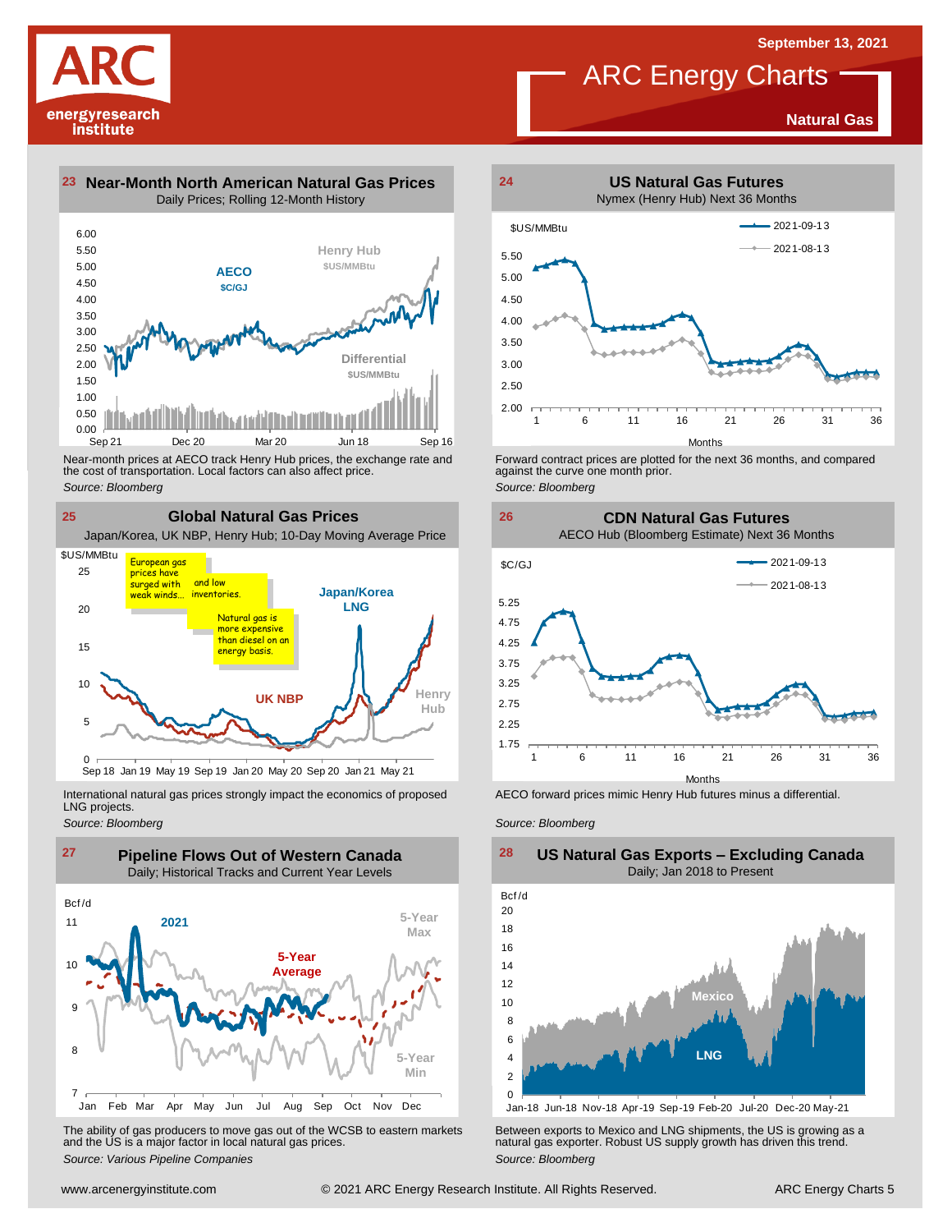**Natural Gas**

# **ARC** Energy Charts



**23 Near-Month North American Natural Gas Prices 24** Daily Prices; Rolling 12-Month History



Near-month prices at AECO track Henry Hub prices, the exchange rate and<br>the cost of transportation. Local factors can also affect price.<br>Source: Bloomberg<br>**CIObal Natural Gas Prices**<br>Japan/Korea, UK NBP, Henry Hub; 10-Day the cost of transportation. Local factors can also affect price. *Source: Bloomberg*

**25 Global Natural Gas Prices**



International natural gas prices strongly impact the economics of proposed LNG projects.

*Source: Bloomberg*



The ability of gas producers to move gas out of the WCSB to eastern markets Between exports to Mexico and LNG shipments, the US is growing as a<br>and the US is a major factor in local natural gas prices.<br>Source: Bloomberg Va



Forward contract prices are plotted for the next <sup>36</sup> months, and compared against the curve one month prior. *Source: Bloomberg*

**26 CDN Natural Gas Futures** AECO Hub (Bloomberg Estimate) Next 36 Months



AECO forward prices mimic Henry Hub futures minus a differential.

*Source: Bloomberg*



**US Natural Gas Exports – Excluding Canada** Daily; Jan 2018 to Present

Jan-18 Jun-18 Nov-18 Apr-19 Sep-19 Feb-20 Jul-20 Dec-20 May-21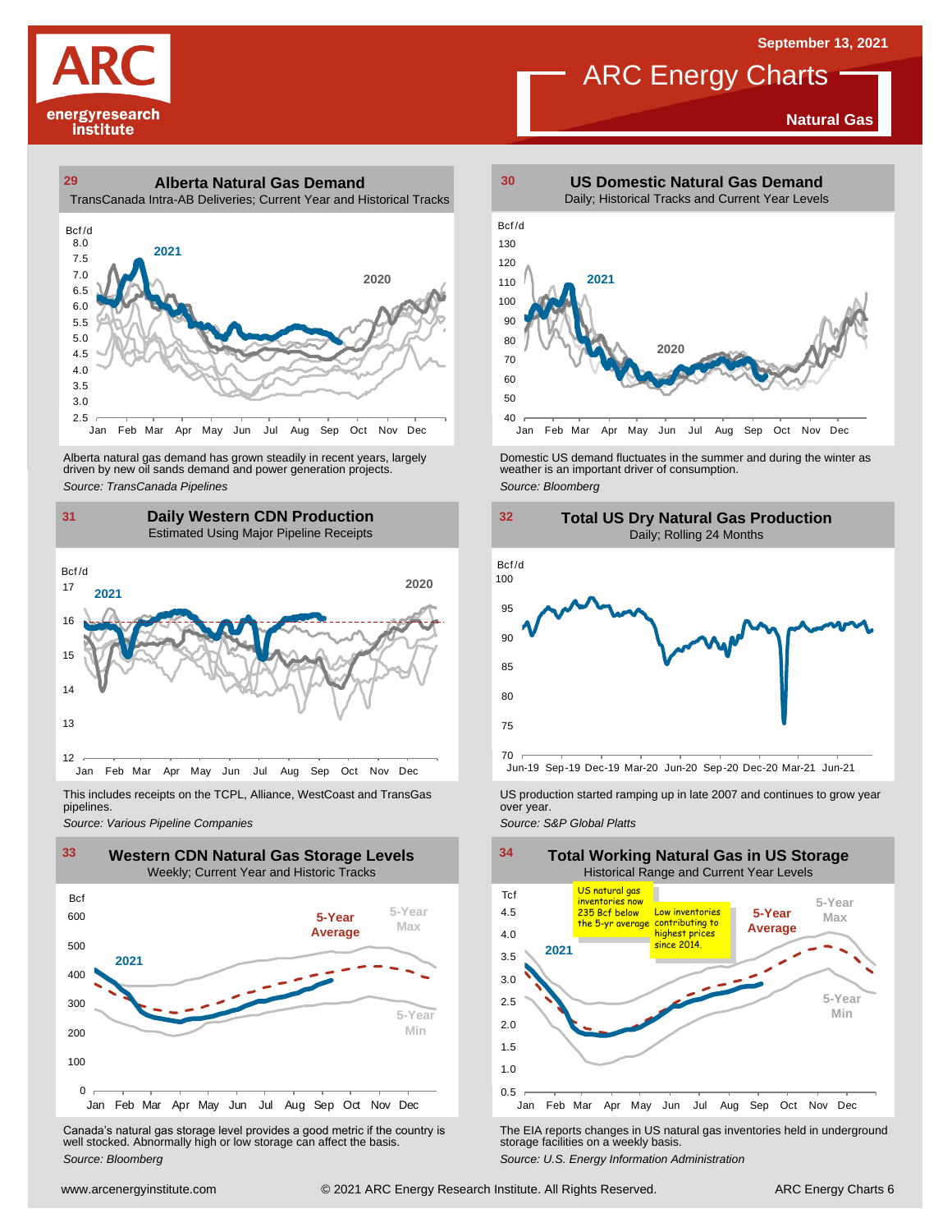**Natural Gas**







Alberta natural gas demand has grown steadily in recent years, largely<br>
driven by new oil sands demand and power generation projects.<br>
Source: *Bloomberg*<br>
Source: *Bloomberg*<br>
Daily Western CDN Production<br>
Estimated Using Alberta natural gas demand has grown steadily in recent years, largely **Domestic US demand fluctuates in the summer** and during the winter as driven by new oil sands demand and power generation projects.<br>Ariven by new oil





This includes receipts on the TCPL, Alliance, WestCoast and TransGas pipelines.



Canada's natural gas storage level provides <sup>a</sup> good metric if the country is well stocked. Abnormally high or low storage can affect the basis. *Source: Bloomberg*



ARC Energy Charts





*Source: Pipelines Pipelines Pipelines Pipelines DSproduction started ramping up in late 2007 and continues to grow year pipelines. Source: Various Pipeline Companies Source: Various Pipeline Companies SA* 



The EIA reports changes in US natural gas inventories held in underground storage facilities on <sup>a</sup> weekly basis.

*Source: U.S. Energy Information Administration*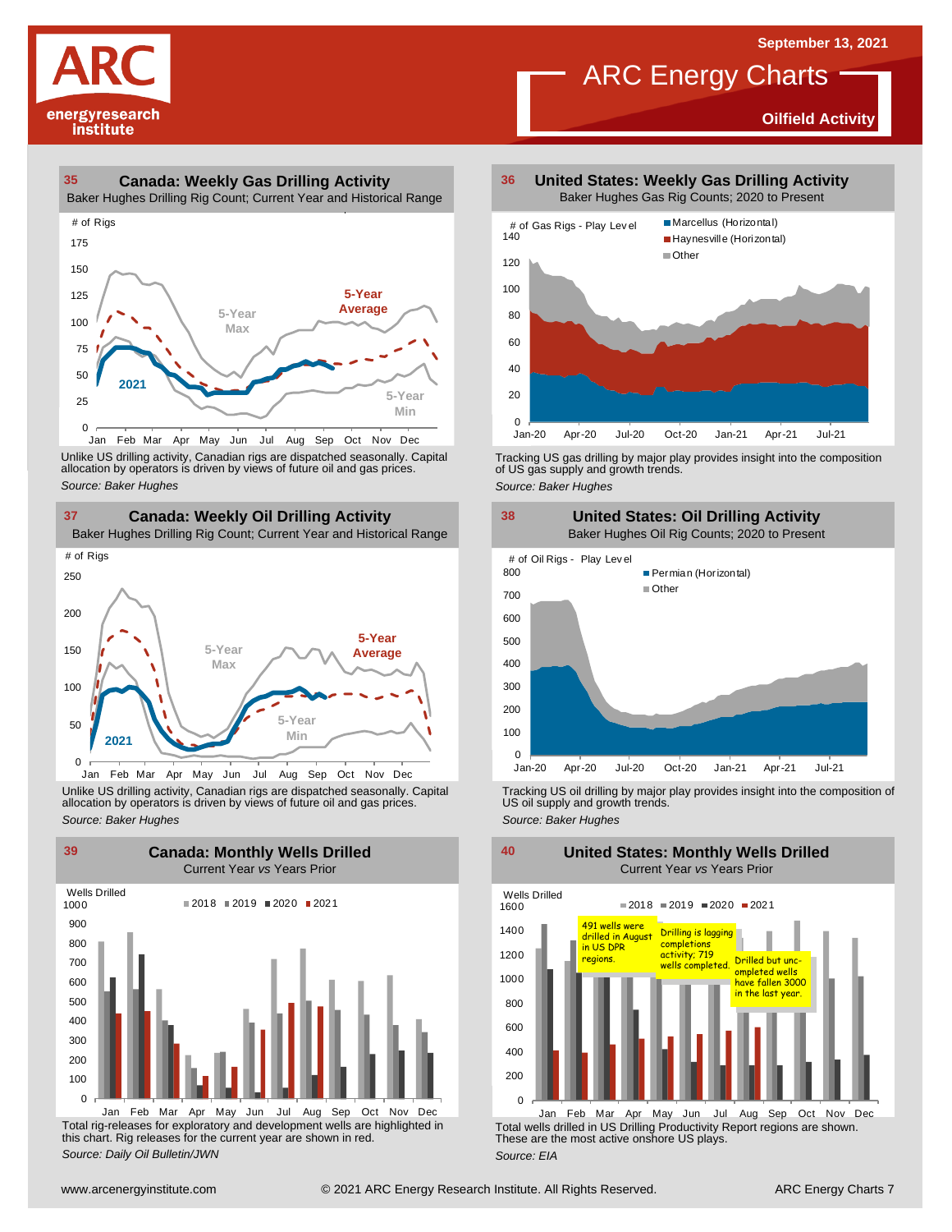**Oilfield Activity**



#### **35 36 Canada: Weekly Gas Drilling Activity**

Baker Hughes Drilling Rig Count; Current Year and Historical Range



Unlike US drilling activity, Canadian rigs are dispatched seasonally. Capital<br>allocation by operators is driven by views of future oil and gas prices. 0<br>Jan Feb Mar A<br>Unlike US drilling activi<br>allocation by operators<br>Source: Baker Hughes



Unlike US drilling activity, Canadian rigs are dispatched seasonally. Capital Tracking US oil drilling by major play provides insight into the composition of<br>allocation by operators is driven by views of future oil and gas



Total rig-releases for exploratory and development wells are highlighted in this chart. Rig releases for the current year are shown in red. *Source: Daily Oil Bulletin/JWN*

**United States: Weekly Gas Drilling Activity** Baker Hughes Gas Rig Counts; 2020 to Present

ARC Energy Charts



Tracking US gas drilling by major play provides insight into the composition of US gas supply and growth trends.

*Source: Baker Hughes*



Tracking US oil drilling by major play provides insight into the composition of US oil supply and growth trends. *Source: Baker Hughes*

**United States: Monthly Wells Drilled**

1200 1400 1600 Wells Drilled  $2018 = 2019 = 2020 = 2021$ 491 wells were drilled in August in US DPR regions. Drilling is lagging<br>in US DPR completions activity; 719<br>regions. Wells completed. Drilled but unc-<br>wells completed. Ompleted wells



Total wells drilled in US Drilling Productivity Report regions are shown. These are the most active onshore US plays. *Source: EIA* Jan Feb Mar Apr May Jun Jul Aug Sep Oct Nov Dec